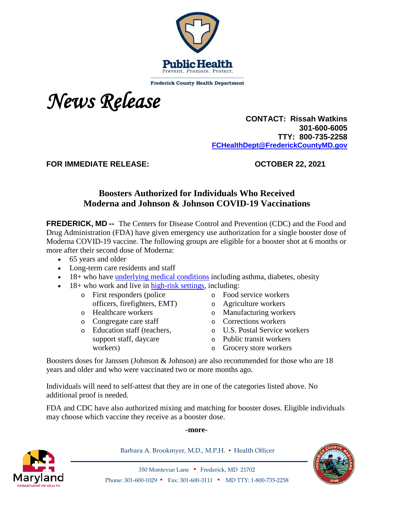

**Frederick County Health Department** 



 **CONTACT: Rissah Watkins 301-600-6005 TTY: 800-735-2258 [FCHealthDept@FrederickCountyMD.gov](mailto:RWatkinsFCHealthDept@FrederickCountyMD.gov)**

**FOR IMMEDIATE RELEASE: OCTOBER 22, 2021**

## **Boosters Authorized for Individuals Who Received Moderna and Johnson & Johnson COVID-19 Vaccinations**

**FREDERICK, MD --** The Centers for Disease Control and Prevention (CDC) and the Food and Drug Administration (FDA) have given emergency use authorization for a single booster dose of Moderna COVID-19 vaccine. The following groups are eligible for a booster shot at 6 months or more after their second dose of Moderna:

- 65 years and older
- Long-term care residents and staff
- 18+ who have [underlying medical conditions](https://www.cdc.gov/coronavirus/2019-ncov/need-extra-precautions/people-with-medical-conditions.html) including asthma, diabetes, obesity
- $\bullet$  18+ who work and live in [high-risk settings,](https://www.cdc.gov/coronavirus/2019-ncov/vaccines/booster-shot.html#HighRisk) including:
	- o First responders (police officers, firefighters, EMT)
	- o Healthcare workers
	- o Congregate care staff
	- o Education staff (teachers, support staff, daycare workers)
- o Food service workers
- o Agriculture workers
- o Manufacturing workers
- o Corrections workers
- o U.S. Postal Service workers
- o Public transit workers
- o Grocery store workers

Boosters doses for Janssen (Johnson & Johnson) are also recommended for those who are 18 years and older and who were vaccinated two or more months ago.

Individuals will need to self-attest that they are in one of the categories listed above. No additional proof is needed.

FDA and CDC have also authorized mixing and matching for booster doses. Eligible individuals may choose which vaccine they receive as a booster dose.

## **-more-**



Barbara A. Brookmyer, M.D., M.P.H. · Health Officer



350 Montevue Lane ▪ Frederick, MD 21702 Phone: 301-600-1029 ▪ Fax: 301-600-3111 ▪ MD TTY: 1-800-735-2258